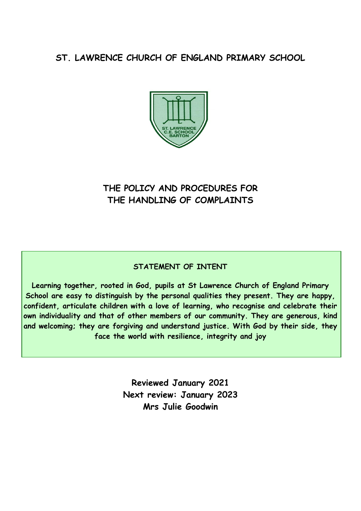## **ST. LAWRENCE CHURCH OF ENGLAND PRIMARY SCHOOL**



# **THE POLICY AND PROCEDURES FOR THE HANDLING OF COMPLAINTS**

## **STATEMENT OF INTENT**

**Learning together, rooted in God, pupils at St Lawrence Church of England Primary School are easy to distinguish by the personal qualities they present. They are happy, confident, articulate children with a love of learning, who recognise and celebrate their own individuality and that of other members of our community. They are generous, kind and welcoming; they are forgiving and understand justice. With God by their side, they face the world with resilience, integrity and joy**

> **Reviewed January 2021 Next review: January 2023 Mrs Julie Goodwin**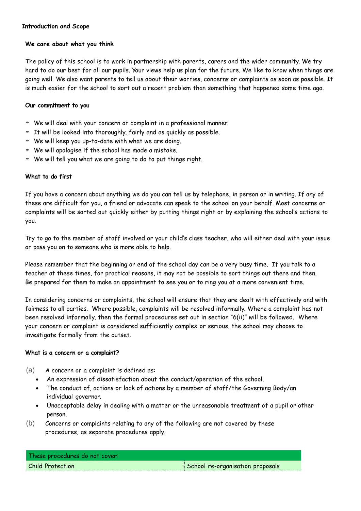## **Introduction and Scope**

## **We care about what you think**

The policy of this school is to work in partnership with parents, carers and the wider community. We try hard to do our best for all our pupils. Your views help us plan for the future. We like to know when things are going well. We also want parents to tell us about their worries, concerns or complaints as soon as possible. It is much easier for the school to sort out a recent problem than something that happened some time ago.

## **Our commitment to you**

- We will deal with your concern or complaint in <sup>a</sup> professional manner.
- It will be looked into thoroughly, fairly and as quickly as possible.
- We will keep you up-to-date with what we are doing.
- We will apologise if the school has made <sup>a</sup> mistake.
- We will tell you what we are going to do to put things right.

## **What to do first**

If you have a concern about anything we do you can tell us by telephone, in person or in writing. If any of these are difficult for you, a friend or advocate can speak to the school on your behalf. Most concerns or complaints will be sorted out quickly either by putting things right or by explaining the school's actions to you.

Try to go to the member of staff involved or your child's class teacher, who will either deal with your issue or pass you on to someone who is more able to help.

Please remember that the beginning or end of the school day can be a very busy time. If you talk to a teacher at these times, for practical reasons, it may not be possible to sort things out there and then. Be prepared for them to make an appointment to see you or to ring you at a more convenient time.

In considering concerns or complaints, the school will ensure that they are dealt with effectively and with fairness to all parties. Where possible, complaints will be resolved informally. Where a complaint has not been resolved informally, then the formal procedures set out in section "6(ii)" will be followed. Where your concern or complaint is considered sufficiently complex or serious, the school may choose to investigate formally from the outset.

## **What is a concern or a complaint?**

- (a) A concern or a complaint is defined as:
	- An expression of dissatisfaction about the conduct/operation of the school.
	- The conduct of, actions or lack of actions by a member of staff/the Governing Body/an individual governor.
	- Unacceptable delay in dealing with a matter or the unreasonable treatment of a pupil or other person.
- (b) Concerns or complaints relating to any of the following are not covered by these procedures, as separate procedures apply.

| These procedures do not cover: |                                  |
|--------------------------------|----------------------------------|
| Child Protection               | School re-organisation proposals |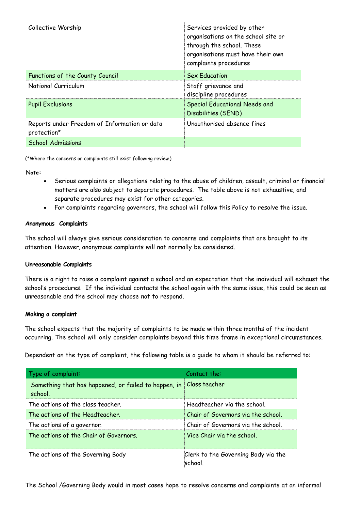| Collective Worship                                          | Services provided by other<br>organisations on the school site or<br>through the school. These<br>organisations must have their own<br>complaints procedures |
|-------------------------------------------------------------|--------------------------------------------------------------------------------------------------------------------------------------------------------------|
| Functions of the County Council                             | <b>Sex Education</b>                                                                                                                                         |
| National Curriculum                                         | Staff grievance and<br>discipline procedures                                                                                                                 |
| <b>Pupil Exclusions</b>                                     | Special Educational Needs and<br>Disabilities (SEND)                                                                                                         |
| Reports under Freedom of Information or data<br>protection* | Unauthorised absence fines                                                                                                                                   |
| <b>School Admissions</b>                                    |                                                                                                                                                              |

(\*Where the concerns or complaints still exist following review.)

**Note:**

- Serious complaints or allegations relating to the abuse of children, assault, criminal or financial matters are also subject to separate procedures. The table above is not exhaustive, and separate procedures may exist for other categories.
- For complaints regarding governors, the school will follow this Policy to resolve the issue.

## **Anonymous Complaints**

The school will always give serious consideration to concerns and complaints that are brought to its attention. However, anonymous complaints will not normally be considered.

## **Unreasonable Complaints**

There is a right to raise a complaint against a school and an expectation that the individual will exhaust the school's procedures. If the individual contacts the school again with the same issue, this could be seen as unreasonable and the school may choose not to respond.

## **Making a complaint**

The school expects that the majority of complaints to be made within three months of the incident occurring. The school will only consider complaints beyond this time frame in exceptional circumstances.

Dependent on the type of complaint, the following table is a guide to whom it should be referred to:

| Type of complaint:                                              | Contact the:                                   |
|-----------------------------------------------------------------|------------------------------------------------|
| Something that has happened, or failed to happen, in<br>school. | Class teacher                                  |
| The actions of the class teacher.                               | Headteacher via the school.                    |
| The actions of the Headteacher.                                 | Chair of Governors via the school.             |
| The actions of a governor.                                      | Chair of Governors via the school.             |
| The actions of the Chair of Governors                           | Vice Chair via the school                      |
| The actions of the Governing Body                               | Clerk to the Governing Body via the<br>school. |

The School /Governing Body would in most cases hope to resolve concerns and complaints at an informal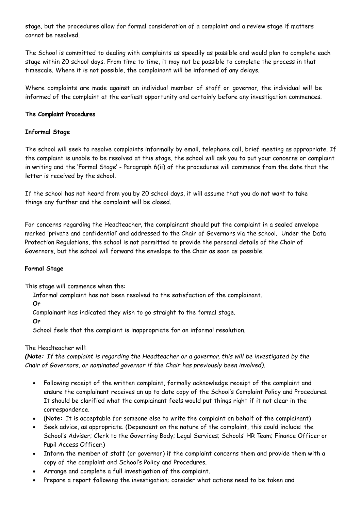stage, but the procedures allow for formal consideration of a complaint and a review stage if matters cannot be resolved.

The School is committed to dealing with complaints as speedily as possible and would plan to complete each stage within 20 school days. From time to time, it may not be possible to complete the process in that timescale. Where it is not possible, the complainant will be informed of any delays.

Where complaints are made against an individual member of staff or governor, the individual will be informed of the complaint at the earliest opportunity and certainly before any investigation commences.

## **The Complaint Procedures**

## **Informal Stage**

The school will seek to resolve complaints informally by email, telephone call, brief meeting as appropriate. If the complaint is unable to be resolved at this stage, the school will ask you to put your concerns or complaint in writing and the 'Formal Stage' - Paragraph 6(ii) of the procedures will commence from the date that the letter is received by the school.

If the school has not heard from you by 20 school days, it will assume that you do not want to take things any further and the complaint will be closed.

For concerns regarding the Headteacher, the complainant should put the complaint in a sealed envelope marked 'private and confidential' and addressed to the Chair of Governors via the school. Under the Data Protection Regulations, the school is not permitted to provide the personal details of the Chair of Governors, but the school will forward the envelope to the Chair as soon as possible.

## **Formal Stage**

This stage will commence when the:

Informal complaint has not been resolved to the satisfaction of the complainant.

## **Or**

Complainant has indicated they wish to go straight to the formal stage.

## **Or**

School feels that the complaint is inappropriate for an informal resolution.

## The Headteacher will:

*(Note: If the complaint is regarding the Headteacher or a governor, this will be investigated by the Chair of Governors, or nominated governor if the Chair has previously been involved).*

- Following receipt of the written complaint, formally acknowledge receipt of the complaint and ensure the complainant receives an up to date copy of the School's Complaint Policy and Procedures. It should be clarified what the complainant feels would put things right if it not clear in the correspondence.
- (**Note:** It is acceptable for someone else to write the complaint on behalf of the complainant)
- Seek advice, as appropriate. (Dependent on the nature of the complaint, this could include: the School's Adviser; Clerk to the Governing Body; Legal Services; Schools' HR Team; Finance Officer or Pupil Access Officer.)
- Inform the member of staff (or governor) if the complaint concerns them and provide them with a copy of the complaint and School's Policy and Procedures.
- Arrange and complete a full investigation of the complaint.
- Prepare a report following the investigation; consider what actions need to be taken and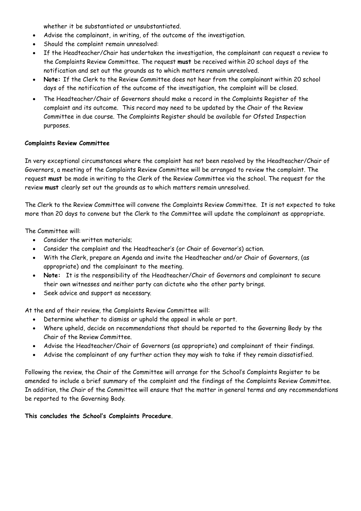whether it be substantiated or unsubstantiated.

- Advise the complainant, in writing, of the outcome of the investigation.
- Should the complaint remain unresolved:
- If the Headteacher/Chair has undertaken the investigation, the complainant can request a review to the Complaints Review Committee. The request **must** be received within 20 school days of the notification and set out the grounds as to which matters remain unresolved.
- **Note:** If the Clerk to the Review Committee does not hear from the complainant within 20 school days of the notification of the outcome of the investigation, the complaint will be closed.
- The Headteacher/Chair of Governors should make a record in the Complaints Register of the complaint and its outcome. This record may need to be updated by the Chair of the Review Committee in due course. The Complaints Register should be available for Ofsted Inspection purposes.

## **Complaints Review Committee**

In very exceptional circumstances where the complaint has not been resolved by the Headteacher/Chair of Governors, a meeting of the Complaints Review Committee will be arranged to review the complaint. The request **must** be made in writing to the Clerk of the Review Committee via the school. The request for the review **must** clearly set out the grounds as to which matters remain unresolved.

The Clerk to the Review Committee will convene the Complaints Review Committee. It is not expected to take more than 20 days to convene but the Clerk to the Committee will update the complainant as appropriate.

The Committee will:

- Consider the written materials;
- Consider the complaint and the Headteacher's (or Chair of Governor's) action.
- With the Clerk, prepare an Agenda and invite the Headteacher and/or Chair of Governors, (as appropriate) and the complainant to the meeting.
- **Note:** It is the responsibility of the Headteacher/Chair of Governors and complainant to secure their own witnesses and neither party can dictate who the other party brings.
- Seek advice and support as necessary.

At the end of their review, the Complaints Review Committee will:

- Determine whether to dismiss or uphold the appeal in whole or part.
- Where upheld, decide on recommendations that should be reported to the Governing Body by the Chair of the Review Committee.
- Advise the Headteacher/Chair of Governors (as appropriate) and complainant of their findings.
- Advise the complainant of any further action they may wish to take if they remain dissatisfied.

Following the review, the Chair of the Committee will arrange for the School's Complaints Register to be amended to include a brief summary of the complaint and the findings of the Complaints Review Committee. In addition, the Chair of the Committee will ensure that the matter in general terms and any recommendations be reported to the Governing Body.

**This concludes the School's Complaints Procedure**.